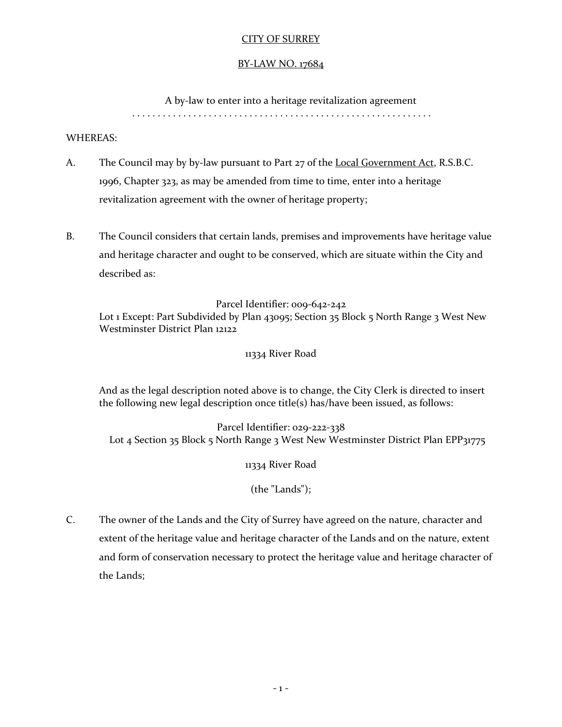# CITY OF SURREY

## BY-LAW NO. 17684

A by-law to enter into a heritage revitalization agreement

. . . . . . . . . . . . . . . . . . . . . . . . . . . . . . . . . . . . . . . . . . . . . . . . . . . . . . . . . . .

## WHEREAS:

- A. The Council may by by-law pursuant to Part 27 of the Local Government Act, R.S.B.C. 1996, Chapter 323, as may be amended from time to time, enter into a heritage revitalization agreement with the owner of heritage property;
- B. The Council considers that certain lands, premises and improvements have heritage value and heritage character and ought to be conserved, which are situate within the City and described as:

Parcel Identifier: 009-642-242

Lot 1 Except: Part Subdivided by Plan 43095; Section 35 Block 5 North Range 3 West New Westminster District Plan 12122

11334 River Road

And as the legal description noted above is to change, the City Clerk is directed to insert the following new legal description once title(s) has/have been issued, as follows:

Parcel Identifier: 029-222-338 Lot 4 Section 35 Block 5 North Range 3 West New Westminster District Plan EPP31775

11334 River Road

(the "Lands");

C. The owner of the Lands and the City of Surrey have agreed on the nature, character and extent of the heritage value and heritage character of the Lands and on the nature, extent and form of conservation necessary to protect the heritage value and heritage character of the Lands;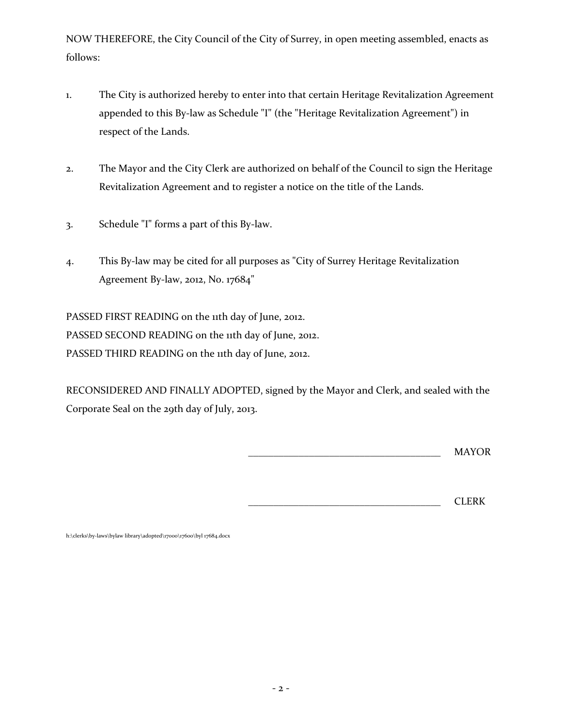NOW THEREFORE, the City Council of the City of Surrey, in open meeting assembled, enacts as follows:

- 1. The City is authorized hereby to enter into that certain Heritage Revitalization Agreement appended to this By-law as Schedule "I" (the "Heritage Revitalization Agreement") in respect of the Lands.
- 2. The Mayor and the City Clerk are authorized on behalf of the Council to sign the Heritage Revitalization Agreement and to register a notice on the title of the Lands.
- 3. Schedule "I" forms a part of this By-law.
- 4. This By-law may be cited for all purposes as "City of Surrey Heritage Revitalization Agreement By-law, 2012, No. 17684"

PASSED FIRST READING on the 11th day of June, 2012. PASSED SECOND READING on the 11th day of June, 2012. PASSED THIRD READING on the 11th day of June, 2012.

RECONSIDERED AND FINALLY ADOPTED, signed by the Mayor and Clerk, and sealed with the Corporate Seal on the 29th day of July, 2013.

\_\_\_\_\_\_\_\_\_\_\_\_\_\_\_\_\_\_\_\_\_\_\_\_\_\_\_\_\_\_\_\_\_\_\_\_\_\_ MAYOR

\_\_\_\_\_\_\_\_\_\_\_\_\_\_\_\_\_\_\_\_\_\_\_\_\_\_\_\_\_\_\_\_\_\_\_\_\_\_ CLERK

h:\clerks\by-laws\bylaw library\adopted\17000\17600\byl 17684.docx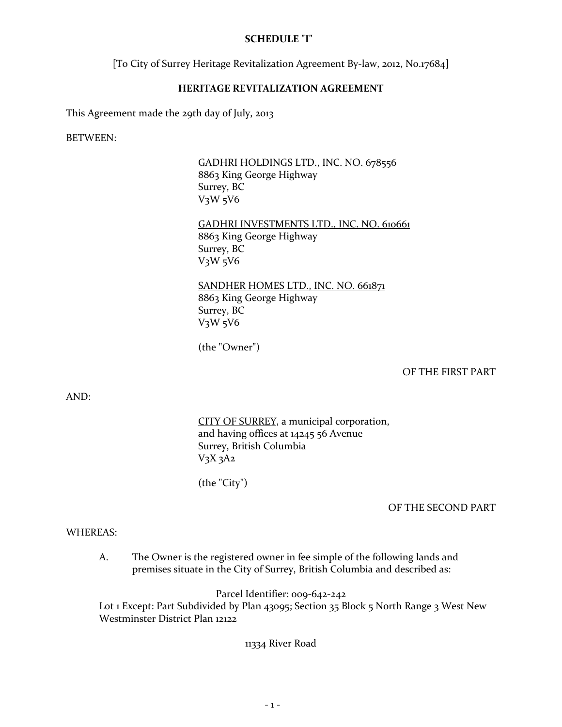## **SCHEDULE "I"**

[To City of Surrey Heritage Revitalization Agreement By-law, 2012, No.17684]

## **HERITAGE REVITALIZATION AGREEMENT**

This Agreement made the 29th day of July, 2013

BETWEEN:

GADHRI HOLDINGS LTD., INC. NO. 678556 8863 King George Highway Surrey, BC V3W 5V6

GADHRI INVESTMENTS LTD., INC. NO. 610661 8863 King George Highway Surrey, BC V3W 5V6

SANDHER HOMES LTD., INC. NO. 661871 8863 King George Highway Surrey, BC V3W 5V6

(the "Owner")

OF THE FIRST PART

AND:

CITY OF SURREY, a municipal corporation, and having offices at 14245 56 Avenue Surrey, British Columbia  $V_3X_3A_2$ 

(the "City")

#### OF THE SECOND PART

#### WHEREAS:

A. The Owner is the registered owner in fee simple of the following lands and premises situate in the City of Surrey, British Columbia and described as:

Parcel Identifier: 009-642-242

Lot 1 Except: Part Subdivided by Plan 43095; Section 35 Block 5 North Range 3 West New Westminster District Plan 12122

11334 River Road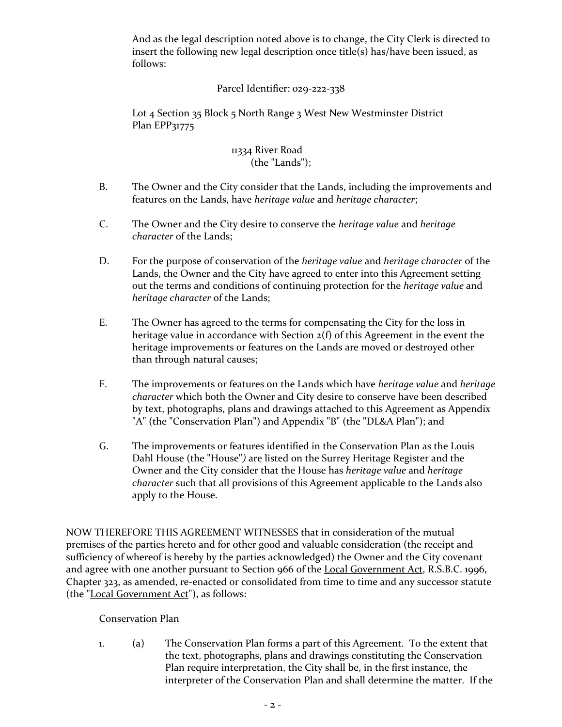And as the legal description noted above is to change, the City Clerk is directed to insert the following new legal description once title(s) has/have been issued, as follows:

# Parcel Identifier: 029-222-338

Lot 4 Section 35 Block 5 North Range 3 West New Westminster District Plan EPP31775

## 11334 River Road (the "Lands");

- B. The Owner and the City consider that the Lands, including the improvements and features on the Lands, have *heritage value* and *heritage character*;
- C. The Owner and the City desire to conserve the *heritage value* and *heritage character* of the Lands;
- D. For the purpose of conservation of the *heritage value* and *heritage character* of the Lands, the Owner and the City have agreed to enter into this Agreement setting out the terms and conditions of continuing protection for the *heritage value* and *heritage character* of the Lands;
- E. The Owner has agreed to the terms for compensating the City for the loss in heritage value in accordance with Section 2(f) of this Agreement in the event the heritage improvements or features on the Lands are moved or destroyed other than through natural causes;
- F. The improvements or features on the Lands which have *heritage value* and *heritage character* which both the Owner and City desire to conserve have been described by text, photographs, plans and drawings attached to this Agreement as Appendix "A" (the "Conservation Plan") and Appendix "B" (the "DL&A Plan"); and
- G. The improvements or features identified in the Conservation Plan as the Louis Dahl House (the "House"*)* are listed on the Surrey Heritage Register and the Owner and the City consider that the House has *heritage value* and *heritage character* such that all provisions of this Agreement applicable to the Lands also apply to the House.

NOW THEREFORE THIS AGREEMENT WITNESSES that in consideration of the mutual premises of the parties hereto and for other good and valuable consideration (the receipt and sufficiency of whereof is hereby by the parties acknowledged) the Owner and the City covenant and agree with one another pursuant to Section 966 of the Local Government Act, R.S.B.C. 1996, Chapter 323, as amended, re-enacted or consolidated from time to time and any successor statute (the "Local Government Act"), as follows:

# Conservation Plan

1. (a) The Conservation Plan forms a part of this Agreement. To the extent that the text, photographs, plans and drawings constituting the Conservation Plan require interpretation, the City shall be, in the first instance, the interpreter of the Conservation Plan and shall determine the matter. If the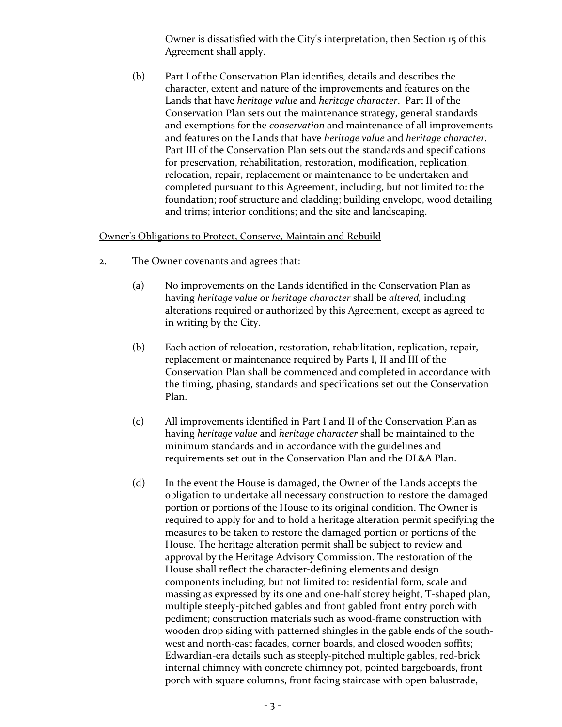Owner is dissatisfied with the City's interpretation, then Section 15 of this Agreement shall apply.

(b) Part I of the Conservation Plan identifies, details and describes the character, extent and nature of the improvements and features on the Lands that have *heritage value* and *heritage character*. Part II of the Conservation Plan sets out the maintenance strategy, general standards and exemptions for the *conservation* and maintenance of all improvements and features on the Lands that have *heritage value* and *heritage character*. Part III of the Conservation Plan sets out the standards and specifications for preservation, rehabilitation, restoration, modification, replication, relocation, repair, replacement or maintenance to be undertaken and completed pursuant to this Agreement, including, but not limited to: the foundation; roof structure and cladding; building envelope, wood detailing and trims; interior conditions; and the site and landscaping.

#### Owner's Obligations to Protect, Conserve, Maintain and Rebuild

- 2. The Owner covenants and agrees that:
	- (a) No improvements on the Lands identified in the Conservation Plan as having *heritage value* or *heritage character* shall be *altered,* including alterations required or authorized by this Agreement, except as agreed to in writing by the City.
	- (b) Each action of relocation, restoration, rehabilitation, replication, repair, replacement or maintenance required by Parts I, II and III of the Conservation Plan shall be commenced and completed in accordance with the timing, phasing, standards and specifications set out the Conservation Plan.
	- (c) All improvements identified in Part I and II of the Conservation Plan as having *heritage value* and *heritage character* shall be maintained to the minimum standards and in accordance with the guidelines and requirements set out in the Conservation Plan and the DL&A Plan.
	- (d) In the event the House is damaged, the Owner of the Lands accepts the obligation to undertake all necessary construction to restore the damaged portion or portions of the House to its original condition. The Owner is required to apply for and to hold a heritage alteration permit specifying the measures to be taken to restore the damaged portion or portions of the House. The heritage alteration permit shall be subject to review and approval by the Heritage Advisory Commission. The restoration of the House shall reflect the character-defining elements and design components including, but not limited to: residential form, scale and massing as expressed by its one and one-half storey height, T-shaped plan, multiple steeply-pitched gables and front gabled front entry porch with pediment; construction materials such as wood-frame construction with wooden drop siding with patterned shingles in the gable ends of the southwest and north-east facades, corner boards, and closed wooden soffits; Edwardian-era details such as steeply-pitched multiple gables, red-brick internal chimney with concrete chimney pot, pointed bargeboards, front porch with square columns, front facing staircase with open balustrade,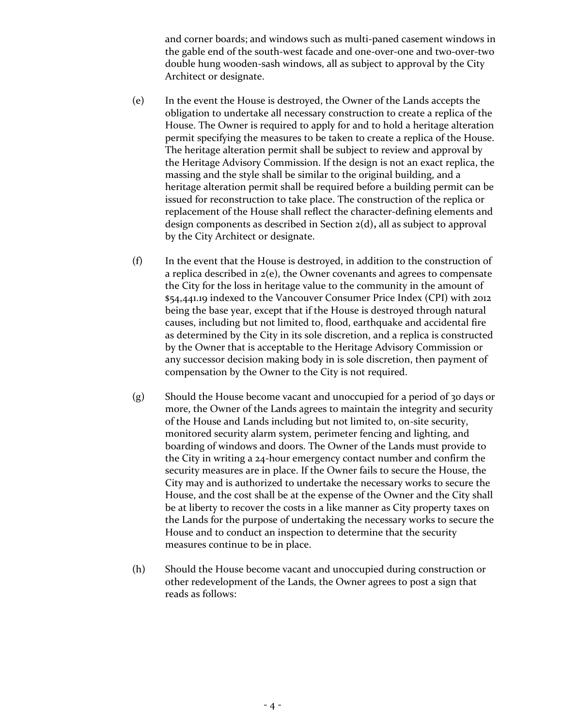and corner boards; and windows such as multi-paned casement windows in the gable end of the south-west facade and one-over-one and two-over-two double hung wooden-sash windows, all as subject to approval by the City Architect or designate.

- (e) In the event the House is destroyed, the Owner of the Lands accepts the obligation to undertake all necessary construction to create a replica of the House. The Owner is required to apply for and to hold a heritage alteration permit specifying the measures to be taken to create a replica of the House. The heritage alteration permit shall be subject to review and approval by the Heritage Advisory Commission. If the design is not an exact replica, the massing and the style shall be similar to the original building, and a heritage alteration permit shall be required before a building permit can be issued for reconstruction to take place. The construction of the replica or replacement of the House shall reflect the character-defining elements and design components as described in Section 2(d)**,** all as subject to approval by the City Architect or designate.
- (f) In the event that the House is destroyed, in addition to the construction of a replica described in 2(e), the Owner covenants and agrees to compensate the City for the loss in heritage value to the community in the amount of \$54,441.19 indexed to the Vancouver Consumer Price Index (CPI) with 2012 being the base year, except that if the House is destroyed through natural causes, including but not limited to, flood, earthquake and accidental fire as determined by the City in its sole discretion, and a replica is constructed by the Owner that is acceptable to the Heritage Advisory Commission or any successor decision making body in is sole discretion, then payment of compensation by the Owner to the City is not required.
- (g) Should the House become vacant and unoccupied for a period of 30 days or more, the Owner of the Lands agrees to maintain the integrity and security of the House and Lands including but not limited to, on-site security, monitored security alarm system, perimeter fencing and lighting, and boarding of windows and doors. The Owner of the Lands must provide to the City in writing a 24-hour emergency contact number and confirm the security measures are in place. If the Owner fails to secure the House, the City may and is authorized to undertake the necessary works to secure the House, and the cost shall be at the expense of the Owner and the City shall be at liberty to recover the costs in a like manner as City property taxes on the Lands for the purpose of undertaking the necessary works to secure the House and to conduct an inspection to determine that the security measures continue to be in place.
- (h) Should the House become vacant and unoccupied during construction or other redevelopment of the Lands, the Owner agrees to post a sign that reads as follows: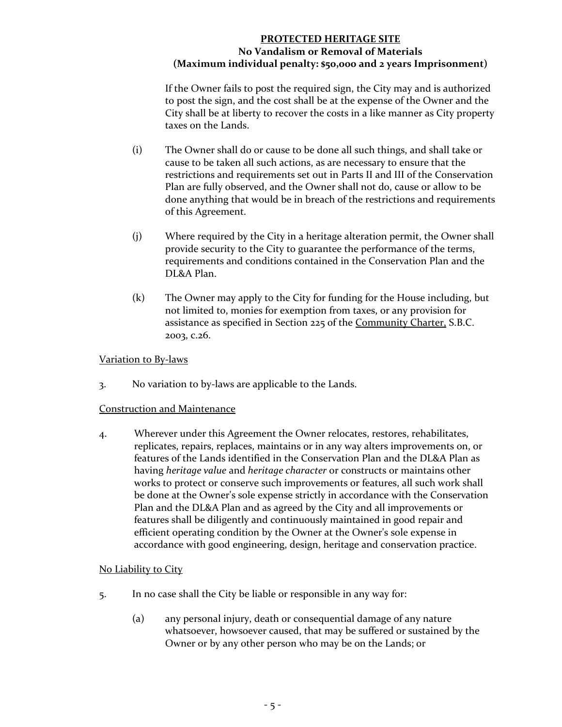# **PROTECTED HERITAGE SITE No Vandalism or Removal of Materials (Maximum individual penalty: \$50,000 and 2 years Imprisonment)**

If the Owner fails to post the required sign, the City may and is authorized to post the sign, and the cost shall be at the expense of the Owner and the City shall be at liberty to recover the costs in a like manner as City property taxes on the Lands.

- (i) The Owner shall do or cause to be done all such things, and shall take or cause to be taken all such actions, as are necessary to ensure that the restrictions and requirements set out in Parts II and III of the Conservation Plan are fully observed, and the Owner shall not do, cause or allow to be done anything that would be in breach of the restrictions and requirements of this Agreement.
- (j) Where required by the City in a heritage alteration permit, the Owner shall provide security to the City to guarantee the performance of the terms, requirements and conditions contained in the Conservation Plan and the DL&A Plan.
- (k) The Owner may apply to the City for funding for the House including, but not limited to, monies for exemption from taxes, or any provision for assistance as specified in Section 225 of the Community Charter, S.B.C. 2003, c.26.

## Variation to By-laws

3. No variation to by-laws are applicable to the Lands.

## Construction and Maintenance

4. Wherever under this Agreement the Owner relocates, restores, rehabilitates, replicates, repairs, replaces, maintains or in any way alters improvements on, or features of the Lands identified in the Conservation Plan and the DL&A Plan as having *heritage value* and *heritage character* or constructs or maintains other works to protect or conserve such improvements or features, all such work shall be done at the Owner's sole expense strictly in accordance with the Conservation Plan and the DL&A Plan and as agreed by the City and all improvements or features shall be diligently and continuously maintained in good repair and efficient operating condition by the Owner at the Owner's sole expense in accordance with good engineering, design, heritage and conservation practice.

# No Liability to City

- 5. In no case shall the City be liable or responsible in any way for:
	- (a) any personal injury, death or consequential damage of any nature whatsoever, howsoever caused, that may be suffered or sustained by the Owner or by any other person who may be on the Lands; or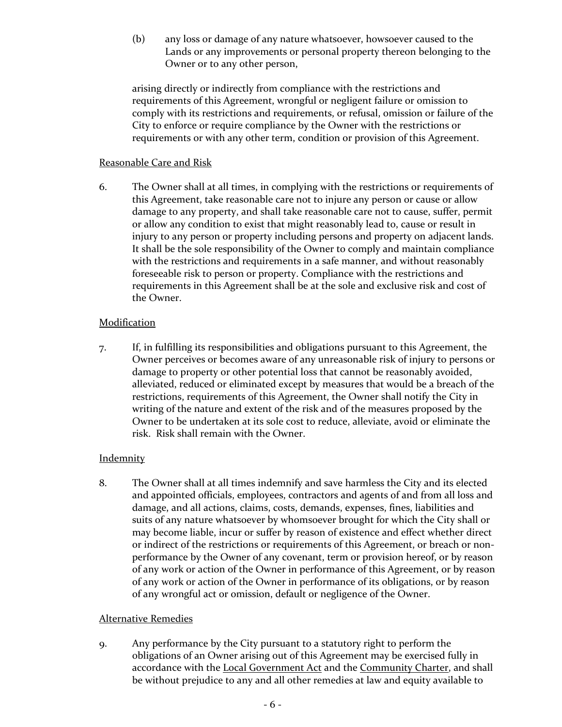(b) any loss or damage of any nature whatsoever, howsoever caused to the Lands or any improvements or personal property thereon belonging to the Owner or to any other person,

arising directly or indirectly from compliance with the restrictions and requirements of this Agreement, wrongful or negligent failure or omission to comply with its restrictions and requirements, or refusal, omission or failure of the City to enforce or require compliance by the Owner with the restrictions or requirements or with any other term, condition or provision of this Agreement.

## Reasonable Care and Risk

6. The Owner shall at all times, in complying with the restrictions or requirements of this Agreement, take reasonable care not to injure any person or cause or allow damage to any property, and shall take reasonable care not to cause, suffer, permit or allow any condition to exist that might reasonably lead to, cause or result in injury to any person or property including persons and property on adjacent lands. It shall be the sole responsibility of the Owner to comply and maintain compliance with the restrictions and requirements in a safe manner, and without reasonably foreseeable risk to person or property. Compliance with the restrictions and requirements in this Agreement shall be at the sole and exclusive risk and cost of the Owner.

# **Modification**

7. If, in fulfilling its responsibilities and obligations pursuant to this Agreement, the Owner perceives or becomes aware of any unreasonable risk of injury to persons or damage to property or other potential loss that cannot be reasonably avoided, alleviated, reduced or eliminated except by measures that would be a breach of the restrictions, requirements of this Agreement, the Owner shall notify the City in writing of the nature and extent of the risk and of the measures proposed by the Owner to be undertaken at its sole cost to reduce, alleviate, avoid or eliminate the risk. Risk shall remain with the Owner.

## **Indemnity**

8. The Owner shall at all times indemnify and save harmless the City and its elected and appointed officials, employees, contractors and agents of and from all loss and damage, and all actions, claims, costs, demands, expenses, fines, liabilities and suits of any nature whatsoever by whomsoever brought for which the City shall or may become liable, incur or suffer by reason of existence and effect whether direct or indirect of the restrictions or requirements of this Agreement, or breach or nonperformance by the Owner of any covenant, term or provision hereof, or by reason of any work or action of the Owner in performance of this Agreement, or by reason of any work or action of the Owner in performance of its obligations, or by reason of any wrongful act or omission, default or negligence of the Owner.

# Alternative Remedies

9. Any performance by the City pursuant to a statutory right to perform the obligations of an Owner arising out of this Agreement may be exercised fully in accordance with the Local Government Act and the Community Charter, and shall be without prejudice to any and all other remedies at law and equity available to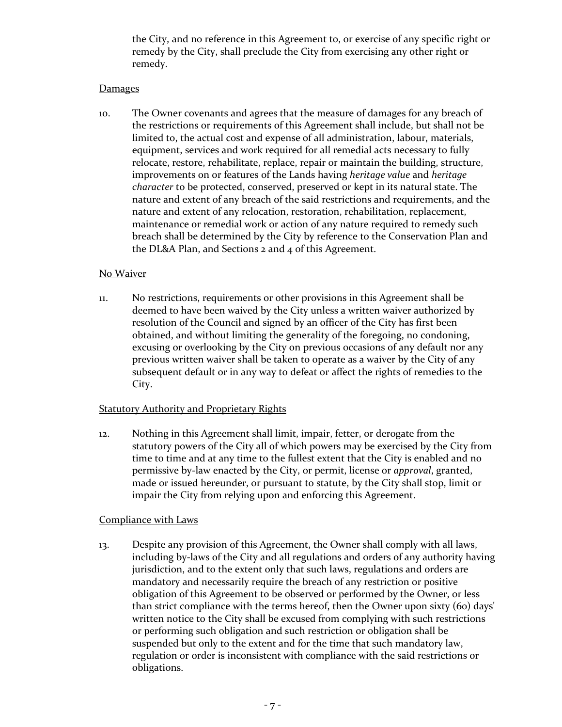the City, and no reference in this Agreement to, or exercise of any specific right or remedy by the City, shall preclude the City from exercising any other right or remedy.

## **Damages**

10. The Owner covenants and agrees that the measure of damages for any breach of the restrictions or requirements of this Agreement shall include, but shall not be limited to, the actual cost and expense of all administration, labour, materials, equipment, services and work required for all remedial acts necessary to fully relocate, restore, rehabilitate, replace, repair or maintain the building, structure, improvements on or features of the Lands having *heritage value* and *heritage character* to be protected, conserved, preserved or kept in its natural state. The nature and extent of any breach of the said restrictions and requirements, and the nature and extent of any relocation, restoration, rehabilitation, replacement, maintenance or remedial work or action of any nature required to remedy such breach shall be determined by the City by reference to the Conservation Plan and the DL&A Plan, and Sections 2 and 4 of this Agreement.

# No Waiver

11. No restrictions, requirements or other provisions in this Agreement shall be deemed to have been waived by the City unless a written waiver authorized by resolution of the Council and signed by an officer of the City has first been obtained, and without limiting the generality of the foregoing, no condoning, excusing or overlooking by the City on previous occasions of any default nor any previous written waiver shall be taken to operate as a waiver by the City of any subsequent default or in any way to defeat or affect the rights of remedies to the City.

## **Statutory Authority and Proprietary Rights**

12. Nothing in this Agreement shall limit, impair, fetter, or derogate from the statutory powers of the City all of which powers may be exercised by the City from time to time and at any time to the fullest extent that the City is enabled and no permissive by-law enacted by the City, or permit, license or *approval*, granted, made or issued hereunder, or pursuant to statute, by the City shall stop, limit or impair the City from relying upon and enforcing this Agreement.

## Compliance with Laws

13. Despite any provision of this Agreement, the Owner shall comply with all laws, including by-laws of the City and all regulations and orders of any authority having jurisdiction, and to the extent only that such laws, regulations and orders are mandatory and necessarily require the breach of any restriction or positive obligation of this Agreement to be observed or performed by the Owner, or less than strict compliance with the terms hereof, then the Owner upon sixty (60) days' written notice to the City shall be excused from complying with such restrictions or performing such obligation and such restriction or obligation shall be suspended but only to the extent and for the time that such mandatory law, regulation or order is inconsistent with compliance with the said restrictions or obligations.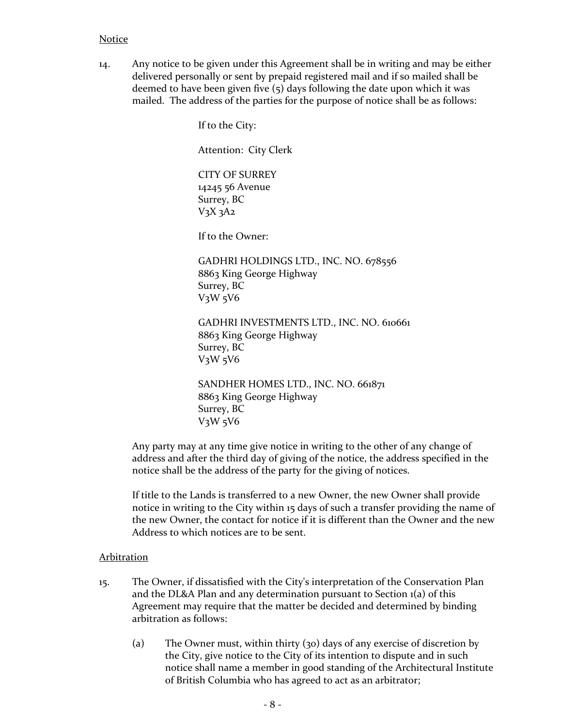#### Notice

14. Any notice to be given under this Agreement shall be in writing and may be either delivered personally or sent by prepaid registered mail and if so mailed shall be deemed to have been given five (5) days following the date upon which it was mailed. The address of the parties for the purpose of notice shall be as follows:

If to the City:

Attention: City Clerk

CITY OF SURREY 14245 56 Avenue Surrey, BC V3X 3A2

If to the Owner:

GADHRI HOLDINGS LTD., INC. NO. 678556 8863 King George Highway Surrey, BC V3W 5V6

GADHRI INVESTMENTS LTD., INC. NO. 610661 8863 King George Highway Surrey, BC  $V_3W_5V_6$ 

SANDHER HOMES LTD., INC. NO. 661871 8863 King George Highway Surrey, BC V3W 5V6

Any party may at any time give notice in writing to the other of any change of address and after the third day of giving of the notice, the address specified in the notice shall be the address of the party for the giving of notices.

If title to the Lands is transferred to a new Owner, the new Owner shall provide notice in writing to the City within 15 days of such a transfer providing the name of the new Owner, the contact for notice if it is different than the Owner and the new Address to which notices are to be sent.

#### Arbitration

- 15. The Owner, if dissatisfied with the City's interpretation of the Conservation Plan and the DL&A Plan and any determination pursuant to Section 1(a) of this Agreement may require that the matter be decided and determined by binding arbitration as follows:
	- (a) The Owner must, within thirty (30) days of any exercise of discretion by the City, give notice to the City of its intention to dispute and in such notice shall name a member in good standing of the Architectural Institute of British Columbia who has agreed to act as an arbitrator;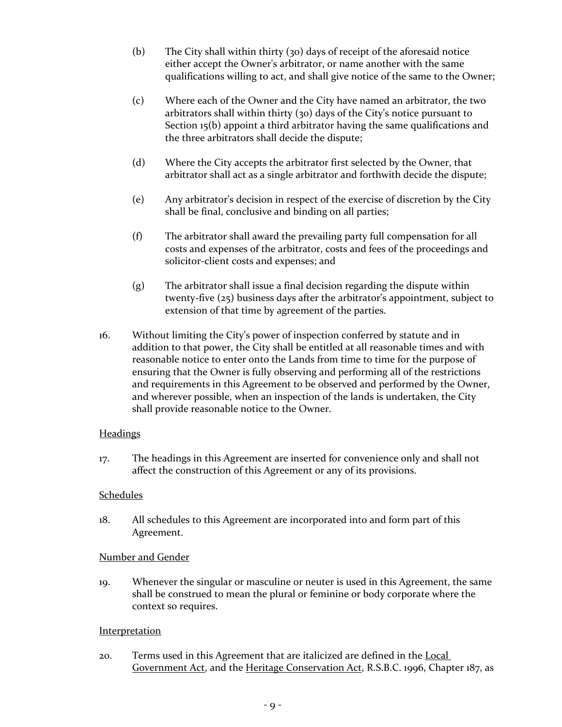- (b) The City shall within thirty (30) days of receipt of the aforesaid notice either accept the Owner's arbitrator, or name another with the same qualifications willing to act, and shall give notice of the same to the Owner;
- (c) Where each of the Owner and the City have named an arbitrator, the two arbitrators shall within thirty (30) days of the City's notice pursuant to Section 15(b) appoint a third arbitrator having the same qualifications and the three arbitrators shall decide the dispute;
- (d) Where the City accepts the arbitrator first selected by the Owner, that arbitrator shall act as a single arbitrator and forthwith decide the dispute;
- (e) Any arbitrator's decision in respect of the exercise of discretion by the City shall be final, conclusive and binding on all parties;
- (f) The arbitrator shall award the prevailing party full compensation for all costs and expenses of the arbitrator, costs and fees of the proceedings and solicitor-client costs and expenses; and
- (g) The arbitrator shall issue a final decision regarding the dispute within twenty-five (25) business days after the arbitrator's appointment, subject to extension of that time by agreement of the parties.
- 16. Without limiting the City's power of inspection conferred by statute and in addition to that power, the City shall be entitled at all reasonable times and with reasonable notice to enter onto the Lands from time to time for the purpose of ensuring that the Owner is fully observing and performing all of the restrictions and requirements in this Agreement to be observed and performed by the Owner, and wherever possible, when an inspection of the lands is undertaken, the City shall provide reasonable notice to the Owner.

## **Headings**

17. The headings in this Agreement are inserted for convenience only and shall not affect the construction of this Agreement or any of its provisions.

## Schedules

18. All schedules to this Agreement are incorporated into and form part of this Agreement.

## Number and Gender

19. Whenever the singular or masculine or neuter is used in this Agreement, the same shall be construed to mean the plural or feminine or body corporate where the context so requires.

## **Interpretation**

20. Terms used in this Agreement that are italicized are defined in the Local Government Act, and the Heritage Conservation Act, R.S.B.C. 1996, Chapter 187, as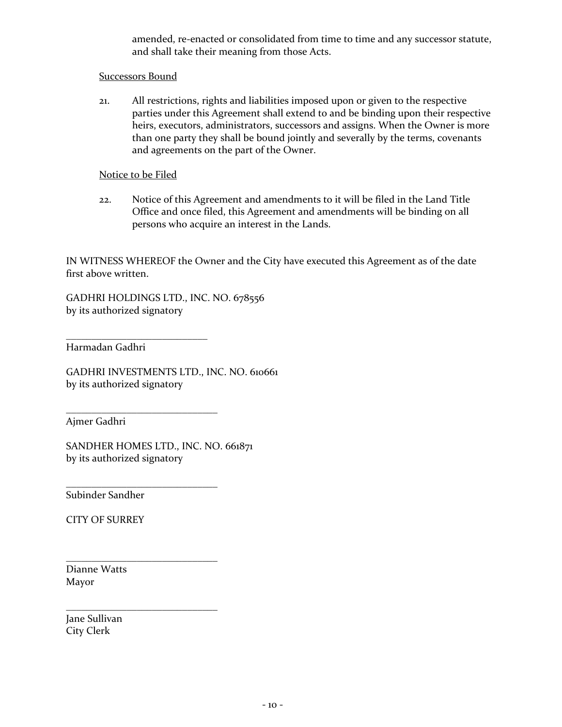amended, re-enacted or consolidated from time to time and any successor statute, and shall take their meaning from those Acts.

## Successors Bound

21. All restrictions, rights and liabilities imposed upon or given to the respective parties under this Agreement shall extend to and be binding upon their respective heirs, executors, administrators, successors and assigns. When the Owner is more than one party they shall be bound jointly and severally by the terms, covenants and agreements on the part of the Owner.

#### Notice to be Filed

22. Notice of this Agreement and amendments to it will be filed in the Land Title Office and once filed, this Agreement and amendments will be binding on all persons who acquire an interest in the Lands.

IN WITNESS WHEREOF the Owner and the City have executed this Agreement as of the date first above written.

GADHRI HOLDINGS LTD., INC. NO. 678556 by its authorized signatory

\_\_\_\_\_\_\_\_\_\_\_\_\_\_\_\_\_\_\_\_\_\_\_\_\_\_\_\_ Harmadan Gadhri

GADHRI INVESTMENTS LTD., INC. NO. 610661 by its authorized signatory

Ajmer Gadhri

SANDHER HOMES LTD., INC. NO. 661871 by its authorized signatory

\_\_\_\_\_\_\_\_\_\_\_\_\_\_\_\_\_\_\_\_\_\_\_\_\_\_\_\_\_\_

\_\_\_\_\_\_\_\_\_\_\_\_\_\_\_\_\_\_\_\_\_\_\_\_\_\_\_\_\_\_

\_\_\_\_\_\_\_\_\_\_\_\_\_\_\_\_\_\_\_\_\_\_\_\_\_\_\_\_\_\_

\_\_\_\_\_\_\_\_\_\_\_\_\_\_\_\_\_\_\_\_\_\_\_\_\_\_\_\_\_\_

Subinder Sandher

CITY OF SURREY

Dianne Watts Mayor

Jane Sullivan City Clerk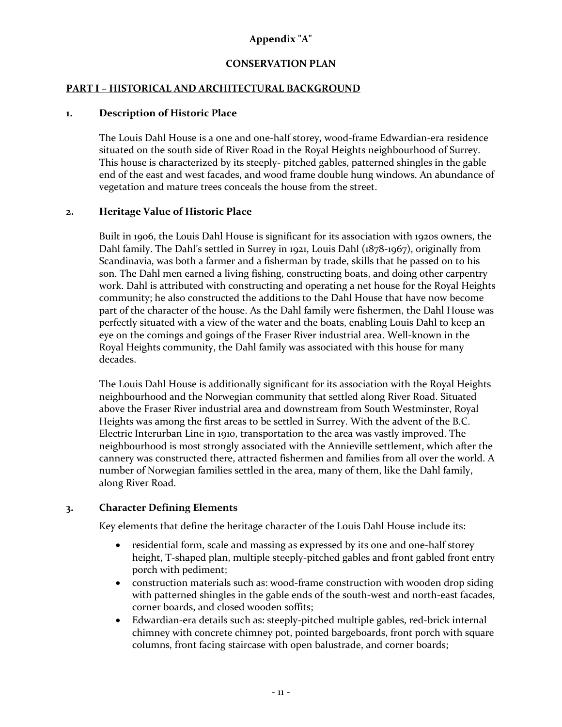# **Appendix "A"**

## **CONSERVATION PLAN**

## **PART I – HISTORICAL AND ARCHITECTURAL BACKGROUND**

#### **1. Description of Historic Place**

The Louis Dahl House is a one and one-half storey, wood-frame Edwardian-era residence situated on the south side of River Road in the Royal Heights neighbourhood of Surrey. This house is characterized by its steeply- pitched gables, patterned shingles in the gable end of the east and west facades, and wood frame double hung windows. An abundance of vegetation and mature trees conceals the house from the street.

## **2. Heritage Value of Historic Place**

Built in 1906, the Louis Dahl House is significant for its association with 1920s owners, the Dahl family. The Dahl's settled in Surrey in 1921, Louis Dahl (1878-1967), originally from Scandinavia, was both a farmer and a fisherman by trade, skills that he passed on to his son. The Dahl men earned a living fishing, constructing boats, and doing other carpentry work. Dahl is attributed with constructing and operating a net house for the Royal Heights community; he also constructed the additions to the Dahl House that have now become part of the character of the house. As the Dahl family were fishermen, the Dahl House was perfectly situated with a view of the water and the boats, enabling Louis Dahl to keep an eye on the comings and goings of the Fraser River industrial area. Well-known in the Royal Heights community, the Dahl family was associated with this house for many decades.

The Louis Dahl House is additionally significant for its association with the Royal Heights neighbourhood and the Norwegian community that settled along River Road. Situated above the Fraser River industrial area and downstream from South Westminster, Royal Heights was among the first areas to be settled in Surrey. With the advent of the B.C. Electric Interurban Line in 1910, transportation to the area was vastly improved. The neighbourhood is most strongly associated with the Annieville settlement, which after the cannery was constructed there, attracted fishermen and families from all over the world. A number of Norwegian families settled in the area, many of them, like the Dahl family, along River Road.

## **3. Character Defining Elements**

Key elements that define the heritage character of the Louis Dahl House include its:

- residential form, scale and massing as expressed by its one and one-half storey height, T-shaped plan, multiple steeply-pitched gables and front gabled front entry porch with pediment;
- construction materials such as: wood-frame construction with wooden drop siding with patterned shingles in the gable ends of the south-west and north-east facades, corner boards, and closed wooden soffits;
- Edwardian-era details such as: steeply-pitched multiple gables, red-brick internal chimney with concrete chimney pot, pointed bargeboards, front porch with square columns, front facing staircase with open balustrade, and corner boards;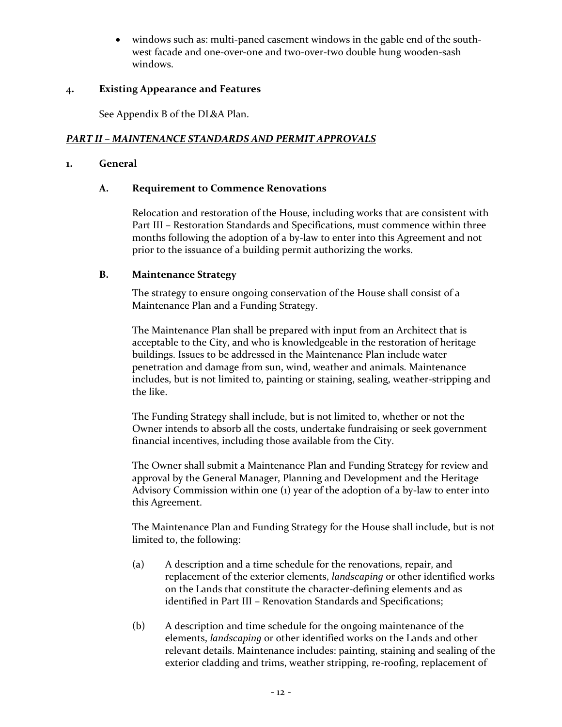windows such as: multi-paned casement windows in the gable end of the southwest facade and one-over-one and two-over-two double hung wooden-sash windows.

## **4. Existing Appearance and Features**

See Appendix B of the DL&A Plan.

# *PART II – MAINTENANCE STANDARDS AND PERMIT APPROVALS*

## **1. General**

#### **A. Requirement to Commence Renovations**

Relocation and restoration of the House, including works that are consistent with Part III – Restoration Standards and Specifications, must commence within three months following the adoption of a by-law to enter into this Agreement and not prior to the issuance of a building permit authorizing the works.

#### **B. Maintenance Strategy**

The strategy to ensure ongoing conservation of the House shall consist of a Maintenance Plan and a Funding Strategy.

The Maintenance Plan shall be prepared with input from an Architect that is acceptable to the City, and who is knowledgeable in the restoration of heritage buildings. Issues to be addressed in the Maintenance Plan include water penetration and damage from sun, wind, weather and animals. Maintenance includes, but is not limited to, painting or staining, sealing, weather-stripping and the like.

The Funding Strategy shall include, but is not limited to, whether or not the Owner intends to absorb all the costs, undertake fundraising or seek government financial incentives, including those available from the City.

The Owner shall submit a Maintenance Plan and Funding Strategy for review and approval by the General Manager, Planning and Development and the Heritage Advisory Commission within one (1) year of the adoption of a by-law to enter into this Agreement.

The Maintenance Plan and Funding Strategy for the House shall include, but is not limited to, the following:

- (a) A description and a time schedule for the renovations, repair, and replacement of the exterior elements, *landscaping* or other identified works on the Lands that constitute the character-defining elements and as identified in Part III – Renovation Standards and Specifications;
- (b) A description and time schedule for the ongoing maintenance of the elements, *landscaping* or other identified works on the Lands and other relevant details. Maintenance includes: painting, staining and sealing of the exterior cladding and trims, weather stripping, re-roofing, replacement of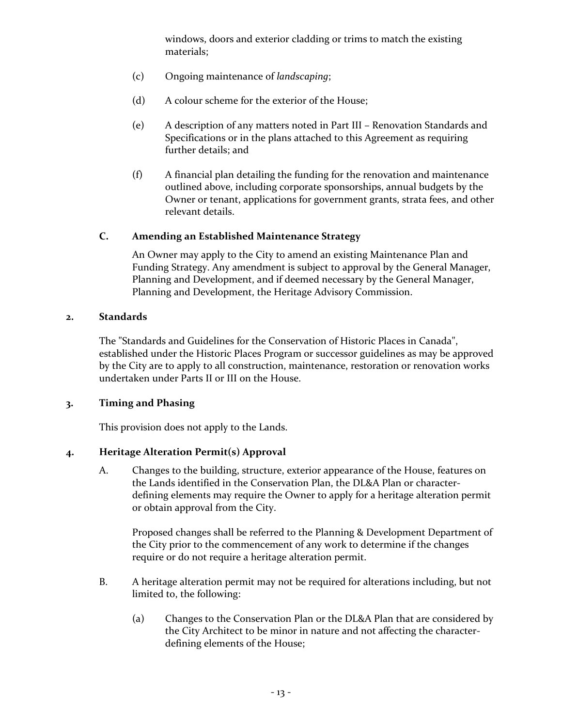windows, doors and exterior cladding or trims to match the existing materials;

- (c) Ongoing maintenance of *landscaping*;
- (d) A colour scheme for the exterior of the House;
- (e) A description of any matters noted in Part III Renovation Standards and Specifications or in the plans attached to this Agreement as requiring further details; and
- (f) A financial plan detailing the funding for the renovation and maintenance outlined above, including corporate sponsorships, annual budgets by the Owner or tenant, applications for government grants, strata fees, and other relevant details.

## **C. Amending an Established Maintenance Strategy**

An Owner may apply to the City to amend an existing Maintenance Plan and Funding Strategy. Any amendment is subject to approval by the General Manager, Planning and Development, and if deemed necessary by the General Manager, Planning and Development, the Heritage Advisory Commission.

#### **2. Standards**

The "Standards and Guidelines for the Conservation of Historic Places in Canada", established under the Historic Places Program or successor guidelines as may be approved by the City are to apply to all construction, maintenance, restoration or renovation works undertaken under Parts II or III on the House.

## **3. Timing and Phasing**

This provision does not apply to the Lands.

## **4. Heritage Alteration Permit(s) Approval**

A. Changes to the building, structure, exterior appearance of the House, features on the Lands identified in the Conservation Plan, the DL&A Plan or characterdefining elements may require the Owner to apply for a heritage alteration permit or obtain approval from the City.

Proposed changes shall be referred to the Planning & Development Department of the City prior to the commencement of any work to determine if the changes require or do not require a heritage alteration permit.

- B. A heritage alteration permit may not be required for alterations including, but not limited to, the following:
	- (a) Changes to the Conservation Plan or the DL&A Plan that are considered by the City Architect to be minor in nature and not affecting the characterdefining elements of the House;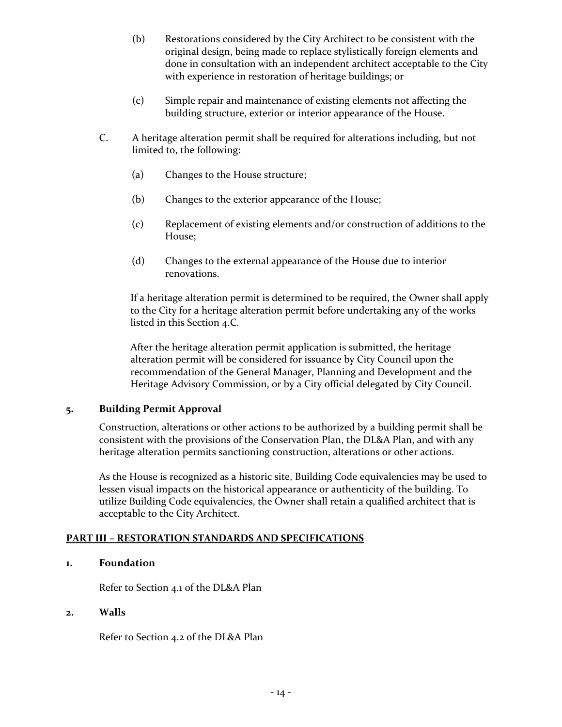- (b) Restorations considered by the City Architect to be consistent with the original design, being made to replace stylistically foreign elements and done in consultation with an independent architect acceptable to the City with experience in restoration of heritage buildings; or
- (c) Simple repair and maintenance of existing elements not affecting the building structure, exterior or interior appearance of the House.
- C. A heritage alteration permit shall be required for alterations including, but not limited to, the following:
	- (a) Changes to the House structure;
	- (b) Changes to the exterior appearance of the House;
	- (c) Replacement of existing elements and/or construction of additions to the House;
	- (d) Changes to the external appearance of the House due to interior renovations.

If a heritage alteration permit is determined to be required, the Owner shall apply to the City for a heritage alteration permit before undertaking any of the works listed in this Section 4.C.

After the heritage alteration permit application is submitted, the heritage alteration permit will be considered for issuance by City Council upon the recommendation of the General Manager, Planning and Development and the Heritage Advisory Commission, or by a City official delegated by City Council.

## **5. Building Permit Approval**

Construction, alterations or other actions to be authorized by a building permit shall be consistent with the provisions of the Conservation Plan, the DL&A Plan, and with any heritage alteration permits sanctioning construction, alterations or other actions.

As the House is recognized as a historic site, Building Code equivalencies may be used to lessen visual impacts on the historical appearance or authenticity of the building. To utilize Building Code equivalencies, the Owner shall retain a qualified architect that is acceptable to the City Architect.

## **PART III – RESTORATION STANDARDS AND SPECIFICATIONS**

## **1. Foundation**

Refer to Section 4.1 of the DL&A Plan

## **2. Walls**

Refer to Section 4.2 of the DL&A Plan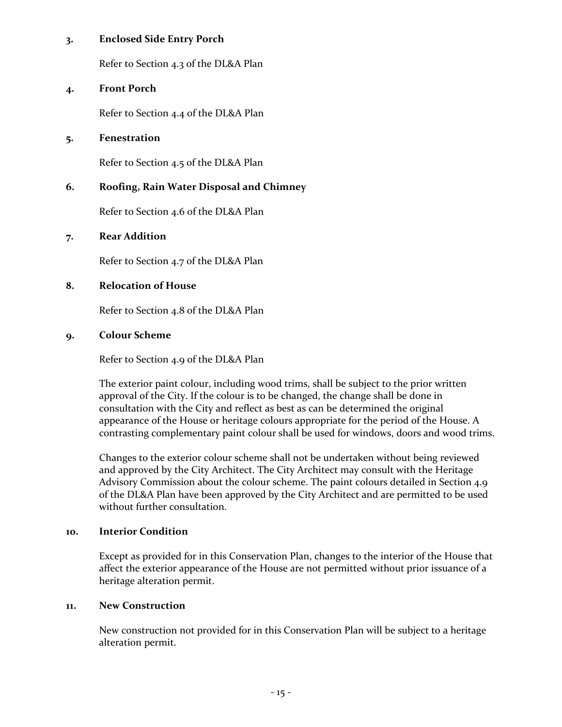## **3. Enclosed Side Entry Porch**

Refer to Section 4.3 of the DL&A Plan

#### **4. Front Porch**

Refer to Section 4.4 of the DL&A Plan

#### **5. Fenestration**

Refer to Section 4.5 of the DL&A Plan

## **6. Roofing, Rain Water Disposal and Chimney**

Refer to Section 4.6 of the DL&A Plan

#### **7. Rear Addition**

Refer to Section 4.7 of the DL&A Plan

## **8. Relocation of House**

Refer to Section 4.8 of the DL&A Plan

#### **9. C0lour Scheme**

Refer to Section 4.9 of the DL&A Plan

The exterior paint colour, including wood trims, shall be subject to the prior written approval of the City. If the colour is to be changed, the change shall be done in consultation with the City and reflect as best as can be determined the original appearance of the House or heritage colours appropriate for the period of the House. A contrasting complementary paint colour shall be used for windows, doors and wood trims.

Changes to the exterior colour scheme shall not be undertaken without being reviewed and approved by the City Architect. The City Architect may consult with the Heritage Advisory Commission about the colour scheme. The paint colours detailed in Section 4.9 of the DL&A Plan have been approved by the City Architect and are permitted to be used without further consultation.

#### **10. Interior Condition**

Except as provided for in this Conservation Plan, changes to the interior of the House that affect the exterior appearance of the House are not permitted without prior issuance of a heritage alteration permit.

## **11. New Construction**

New construction not provided for in this Conservation Plan will be subject to a heritage alteration permit.